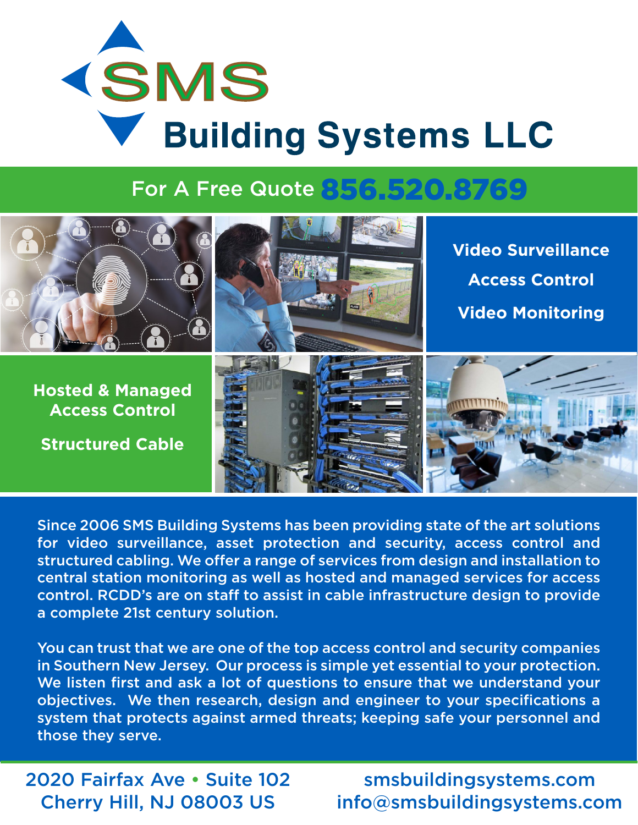# **KSMS V** Building Systems LLC

### For A Free Quote 856.520.8769



Since 2006 SMS Building Systems has been providing state of the art solutions for video surveillance, asset protection and security, access control and structured cabling. We offer a range of services from design and installation to central station monitoring as well as hosted and managed services for access control. RCDD's are on staff to assist in cable infrastructure design to provide a complete 21st century solution.

You can trust that we are one of the top access control and security companies in Southern New Jersey. Our process is simple yet essential to your protection. We listen first and ask a lot of questions to ensure that we understand your objectives. We then research, design and engineer to your specifications a system that protects against armed threats; keeping safe your personnel and those they serve.

2020 Fairfax Ave • Suite 102 Cherry Hill, NJ 08003 US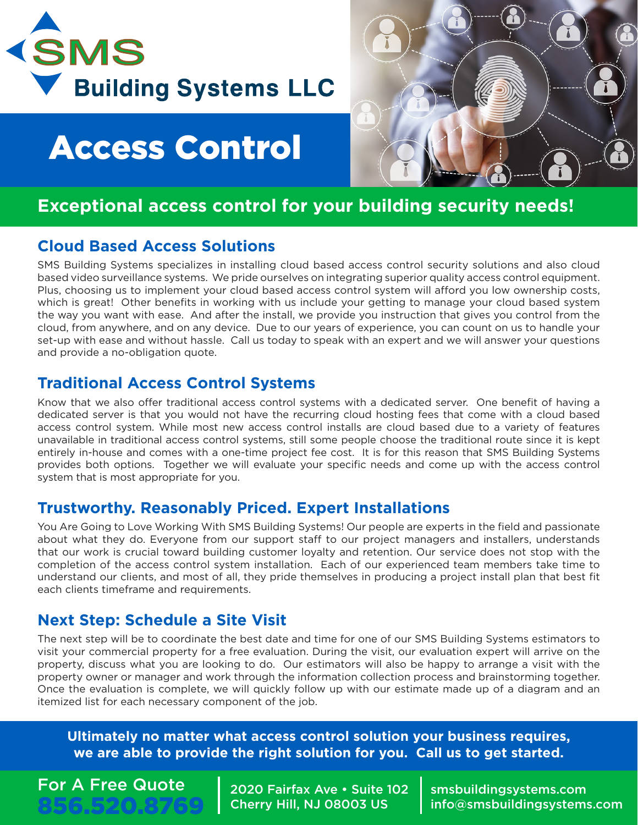

### Access Control

#### **Exceptional access control for your building security needs!**

#### **Cloud Based Access Solutions**

SMS Building Systems specializes in installing cloud based access control security solutions and also cloud based video surveillance systems. We pride ourselves on integrating superior quality access control equipment. Plus, choosing us to implement your cloud based access control system will afford you low ownership costs, which is great! Other benefits in working with us include your getting to manage your cloud based system the way you want with ease. And after the install, we provide you instruction that gives you control from the cloud, from anywhere, and on any device. Due to our years of experience, you can count on us to handle your set-up with ease and without hassle. Call us today to speak with an expert and we will answer your questions and provide a no-obligation quote.

#### **Traditional Access Control Systems**

Know that we also offer traditional access control systems with a dedicated server. One benefit of having a dedicated server is that you would not have the recurring cloud hosting fees that come with a cloud based access control system. While most new access control installs are cloud based due to a variety of features unavailable in traditional access control systems, still some people choose the traditional route since it is kept entirely in-house and comes with a one-time project fee cost. It is for this reason that SMS Building Systems provides both options. Together we will evaluate your specific needs and come up with the access control system that is most appropriate for you.

#### **Trustworthy. Reasonably Priced. Expert Installations**

You Are Going to Love Working With SMS Building Systems! Our people are experts in the field and passionate about what they do. Everyone from our support staff to our project managers and installers, understands that our work is crucial toward building customer loyalty and retention. Our service does not stop with the completion of the access control system installation. Each of our experienced team members take time to understand our clients, and most of all, they pride themselves in producing a project install plan that best fit each clients timeframe and requirements.

#### **Next Step: Schedule a Site Visit**

The next step will be to coordinate the best date and time for one of our SMS Building Systems estimators to visit your commercial property for a free evaluation. During the visit, our evaluation expert will arrive on the property, discuss what you are looking to do. Our estimators will also be happy to arrange a visit with the property owner or manager and work through the information collection process and brainstorming together. Once the evaluation is complete, we will quickly follow up with our estimate made up of a diagram and an itemized list for each necessary component of the job.

**Ultimately no matter what access control solution your business requires, we are able to provide the right solution for you. Call us to get started.**

#### For A Free Quote 856.520.8769

2020 Fairfax Ave • Suite 102 Cherry Hill, NJ 08003 US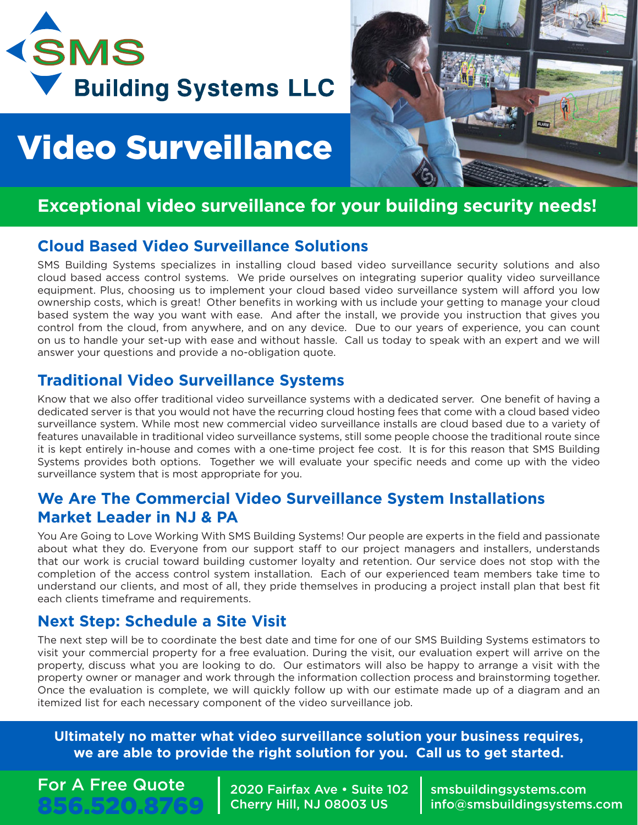

## Video Surveillance



#### **Exceptional video surveillance for your building security needs!**

#### **Cloud Based Video Surveillance Solutions**

SMS Building Systems specializes in installing cloud based video surveillance security solutions and also cloud based access control systems. We pride ourselves on integrating superior quality video surveillance equipment. Plus, choosing us to implement your cloud based video surveillance system will afford you low ownership costs, which is great! Other benefits in working with us include your getting to manage your cloud based system the way you want with ease. And after the install, we provide you instruction that gives you control from the cloud, from anywhere, and on any device. Due to our years of experience, you can count on us to handle your set-up with ease and without hassle. Call us today to speak with an expert and we will answer your questions and provide a no-obligation quote.

#### **Traditional Video Surveillance Systems**

Know that we also offer traditional video surveillance systems with a dedicated server. One benefit of having a dedicated server is that you would not have the recurring cloud hosting fees that come with a cloud based video surveillance system. While most new commercial video surveillance installs are cloud based due to a variety of features unavailable in traditional video surveillance systems, still some people choose the traditional route since it is kept entirely in-house and comes with a one-time project fee cost. It is for this reason that SMS Building Systems provides both options. Together we will evaluate your specific needs and come up with the video surveillance system that is most appropriate for you.

#### **We Are The Commercial Video Surveillance System Installations Market Leader in NJ & PA**

You Are Going to Love Working With SMS Building Systems! Our people are experts in the field and passionate about what they do. Everyone from our support staff to our project managers and installers, understands that our work is crucial toward building customer loyalty and retention. Our service does not stop with the completion of the access control system installation. Each of our experienced team members take time to understand our clients, and most of all, they pride themselves in producing a project install plan that best fit each clients timeframe and requirements.

#### **Next Step: Schedule a Site Visit**

The next step will be to coordinate the best date and time for one of our SMS Building Systems estimators to visit your commercial property for a free evaluation. During the visit, our evaluation expert will arrive on the property, discuss what you are looking to do. Our estimators will also be happy to arrange a visit with the property owner or manager and work through the information collection process and brainstorming together. Once the evaluation is complete, we will quickly follow up with our estimate made up of a diagram and an itemized list for each necessary component of the video surveillance job.

**Ultimately no matter what video surveillance solution your business requires, we are able to provide the right solution for you. Call us to get started.**

#### For A Free Quote 856.520.8769

2020 Fairfax Ave • Suite 102 Cherry Hill, NJ 08003 US